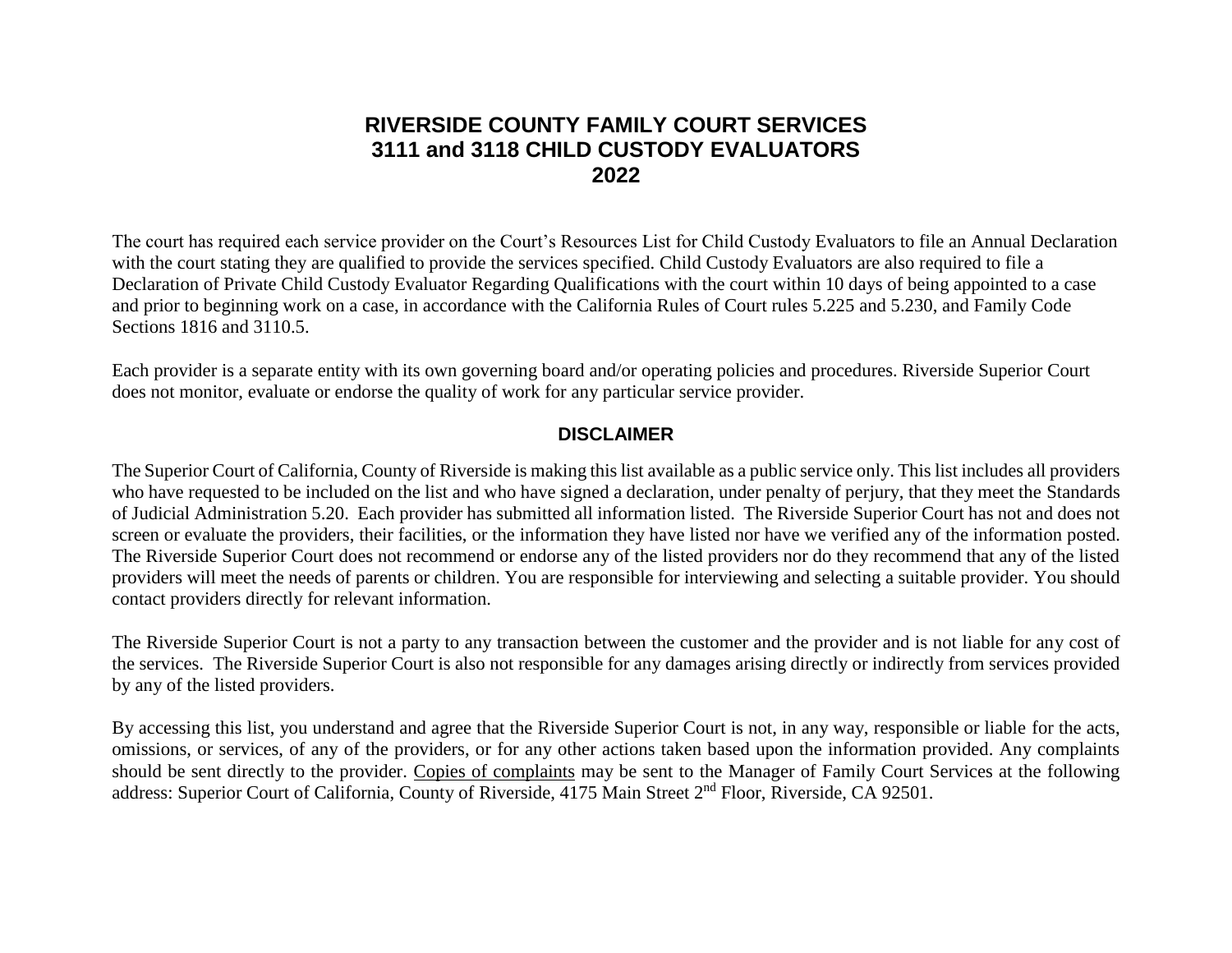## **RIVERSIDE COUNTY FAMILY COURT SERVICES 3111 and 3118 CHILD CUSTODY EVALUATORS 2022**

The court has required each service provider on the Court's Resources List for Child Custody Evaluators to file an Annual Declaration with the court stating they are qualified to provide the services specified. Child Custody Evaluators are also required to file a Declaration of Private Child Custody Evaluator Regarding Qualifications with the court within 10 days of being appointed to a case and prior to beginning work on a case, in accordance with the California Rules of Court rules 5.225 and 5.230, and Family Code Sections 1816 and 3110.5.

Each provider is a separate entity with its own governing board and/or operating policies and procedures. Riverside Superior Court does not monitor, evaluate or endorse the quality of work for any particular service provider.

## **DISCLAIMER**

The Superior Court of California, County of Riverside is making this list available as a public service only. This list includes all providers who have requested to be included on the list and who have signed a declaration, under penalty of perjury, that they meet the Standards of Judicial Administration 5.20. Each provider has submitted all information listed. The Riverside Superior Court has not and does not screen or evaluate the providers, their facilities, or the information they have listed nor have we verified any of the information posted. The Riverside Superior Court does not recommend or endorse any of the listed providers nor do they recommend that any of the listed providers will meet the needs of parents or children. You are responsible for interviewing and selecting a suitable provider. You should contact providers directly for relevant information.

The Riverside Superior Court is not a party to any transaction between the customer and the provider and is not liable for any cost of the services. The Riverside Superior Court is also not responsible for any damages arising directly or indirectly from services provided by any of the listed providers.

By accessing this list, you understand and agree that the Riverside Superior Court is not, in any way, responsible or liable for the acts, omissions, or services, of any of the providers, or for any other actions taken based upon the information provided. Any complaints should be sent directly to the provider. Copies of complaints may be sent to the Manager of Family Court Services at the following address: Superior Court of California, County of Riverside, 4175 Main Street 2nd Floor, Riverside, CA 92501.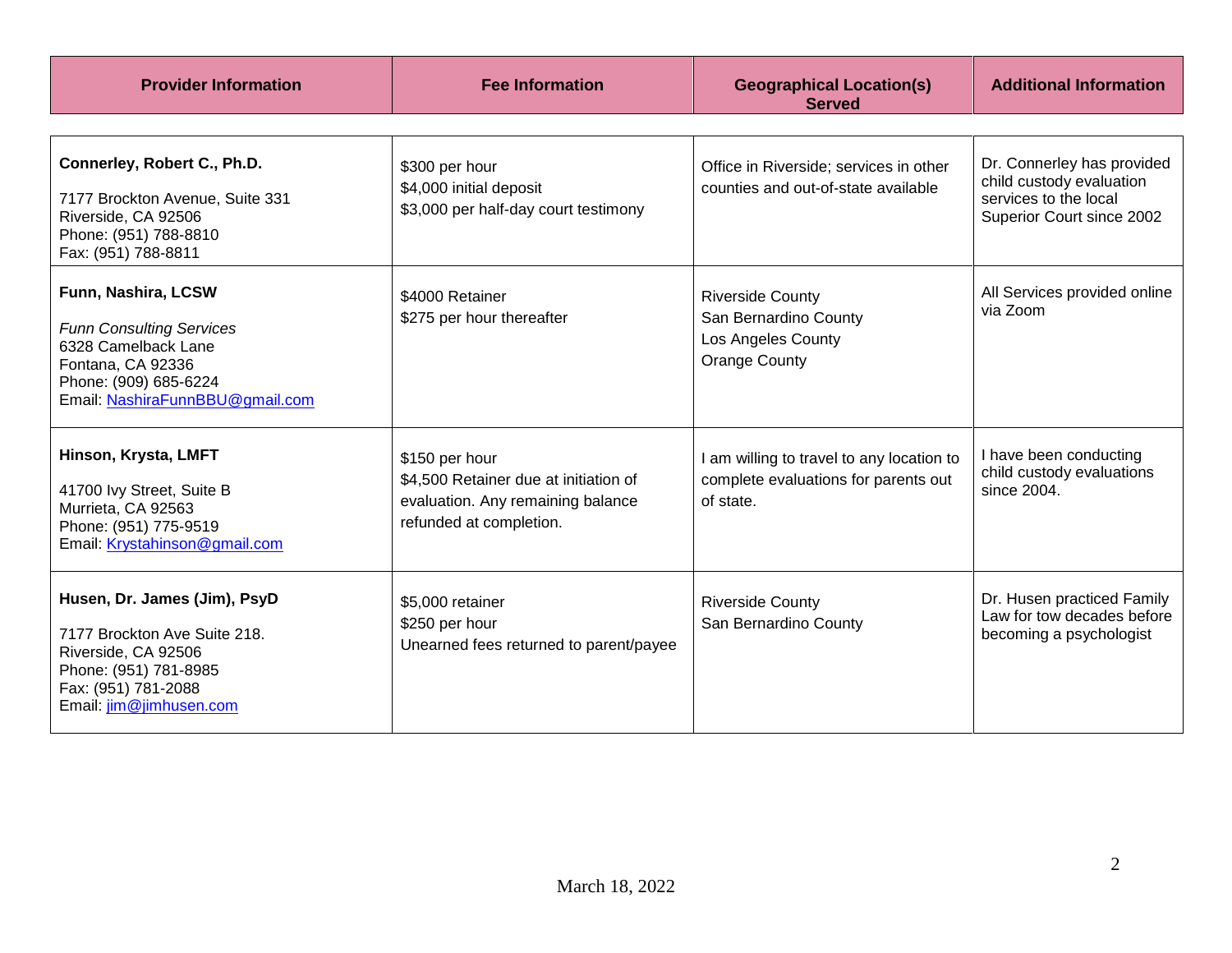| <b>Provider Information</b>                                                                                                                                    | <b>Fee Information</b>                                                                                                  | <b>Geographical Location(s)</b><br><b>Served</b>                                               | <b>Additional Information</b>                                                                                |
|----------------------------------------------------------------------------------------------------------------------------------------------------------------|-------------------------------------------------------------------------------------------------------------------------|------------------------------------------------------------------------------------------------|--------------------------------------------------------------------------------------------------------------|
| Connerley, Robert C., Ph.D.<br>7177 Brockton Avenue, Suite 331<br>Riverside, CA 92506<br>Phone: (951) 788-8810<br>Fax: (951) 788-8811                          | \$300 per hour<br>\$4,000 initial deposit<br>\$3,000 per half-day court testimony                                       | Office in Riverside; services in other<br>counties and out-of-state available                  | Dr. Connerley has provided<br>child custody evaluation<br>services to the local<br>Superior Court since 2002 |
| Funn, Nashira, LCSW<br><b>Funn Consulting Services</b><br>6328 Camelback Lane<br>Fontana, CA 92336<br>Phone: (909) 685-6224<br>Email: NashiraFunnBBU@gmail.com | \$4000 Retainer<br>\$275 per hour thereafter                                                                            | <b>Riverside County</b><br>San Bernardino County<br>Los Angeles County<br><b>Orange County</b> | All Services provided online<br>via Zoom                                                                     |
| Hinson, Krysta, LMFT<br>41700 Ivy Street, Suite B<br>Murrieta, CA 92563<br>Phone: (951) 775-9519<br>Email: Krystahinson@gmail.com                              | \$150 per hour<br>\$4,500 Retainer due at initiation of<br>evaluation. Any remaining balance<br>refunded at completion. | I am willing to travel to any location to<br>complete evaluations for parents out<br>of state. | I have been conducting<br>child custody evaluations<br>since 2004.                                           |
| Husen, Dr. James (Jim), PsyD<br>7177 Brockton Ave Suite 218.<br>Riverside, CA 92506<br>Phone: (951) 781-8985<br>Fax: (951) 781-2088<br>Email: jim@jimhusen.com | \$5,000 retainer<br>\$250 per hour<br>Unearned fees returned to parent/payee                                            | <b>Riverside County</b><br>San Bernardino County                                               | Dr. Husen practiced Family<br>Law for tow decades before<br>becoming a psychologist                          |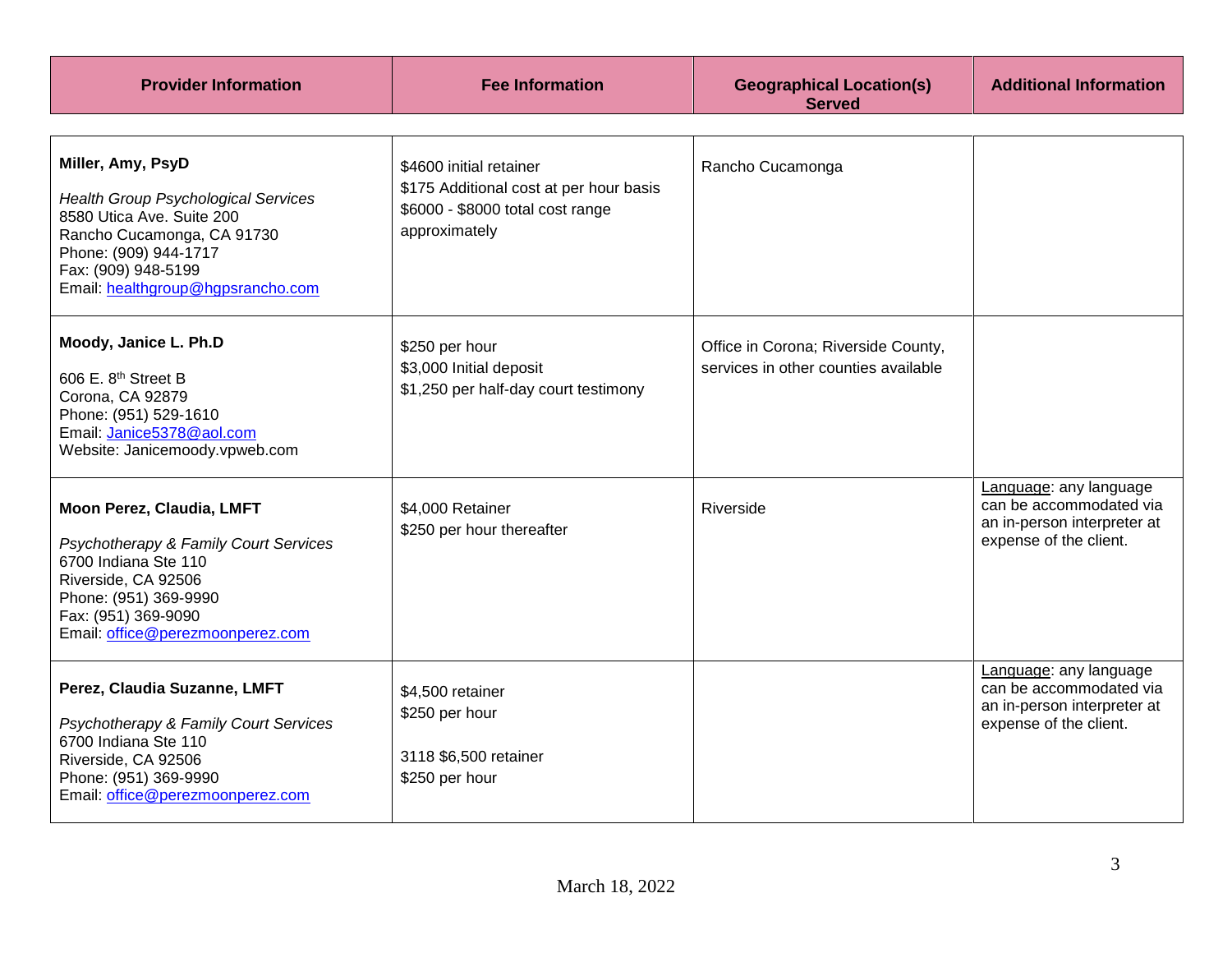| <b>Provider Information</b>                                                                                                                                                                                     | <b>Fee Information</b>                                                                                                  | <b>Geographical Location(s)</b><br><b>Served</b>                            | <b>Additional Information</b>                                                                              |
|-----------------------------------------------------------------------------------------------------------------------------------------------------------------------------------------------------------------|-------------------------------------------------------------------------------------------------------------------------|-----------------------------------------------------------------------------|------------------------------------------------------------------------------------------------------------|
| Miller, Amy, PsyD<br><b>Health Group Psychological Services</b><br>8580 Utica Ave. Suite 200<br>Rancho Cucamonga, CA 91730<br>Phone: (909) 944-1717<br>Fax: (909) 948-5199<br>Email: healthgroup@hgpsrancho.com | \$4600 initial retainer<br>\$175 Additional cost at per hour basis<br>\$6000 - \$8000 total cost range<br>approximately | Rancho Cucamonga                                                            |                                                                                                            |
| Moody, Janice L. Ph.D<br>606 E. 8th Street B<br>Corona, CA 92879<br>Phone: (951) 529-1610<br>Email: Janice5378@aol.com<br>Website: Janicemoody.vpweb.com                                                        | \$250 per hour<br>\$3,000 Initial deposit<br>\$1,250 per half-day court testimony                                       | Office in Corona; Riverside County,<br>services in other counties available |                                                                                                            |
| Moon Perez, Claudia, LMFT<br>Psychotherapy & Family Court Services<br>6700 Indiana Ste 110<br>Riverside, CA 92506<br>Phone: (951) 369-9990<br>Fax: (951) 369-9090<br>Email: office@perezmoonperez.com           | \$4,000 Retainer<br>\$250 per hour thereafter                                                                           | Riverside                                                                   | Language: any language<br>can be accommodated via<br>an in-person interpreter at<br>expense of the client. |
| Perez, Claudia Suzanne, LMFT<br>Psychotherapy & Family Court Services<br>6700 Indiana Ste 110<br>Riverside, CA 92506<br>Phone: (951) 369-9990<br>Email: office@perezmoonperez.com                               | \$4,500 retainer<br>\$250 per hour<br>3118 \$6,500 retainer<br>\$250 per hour                                           |                                                                             | Language: any language<br>can be accommodated via<br>an in-person interpreter at<br>expense of the client. |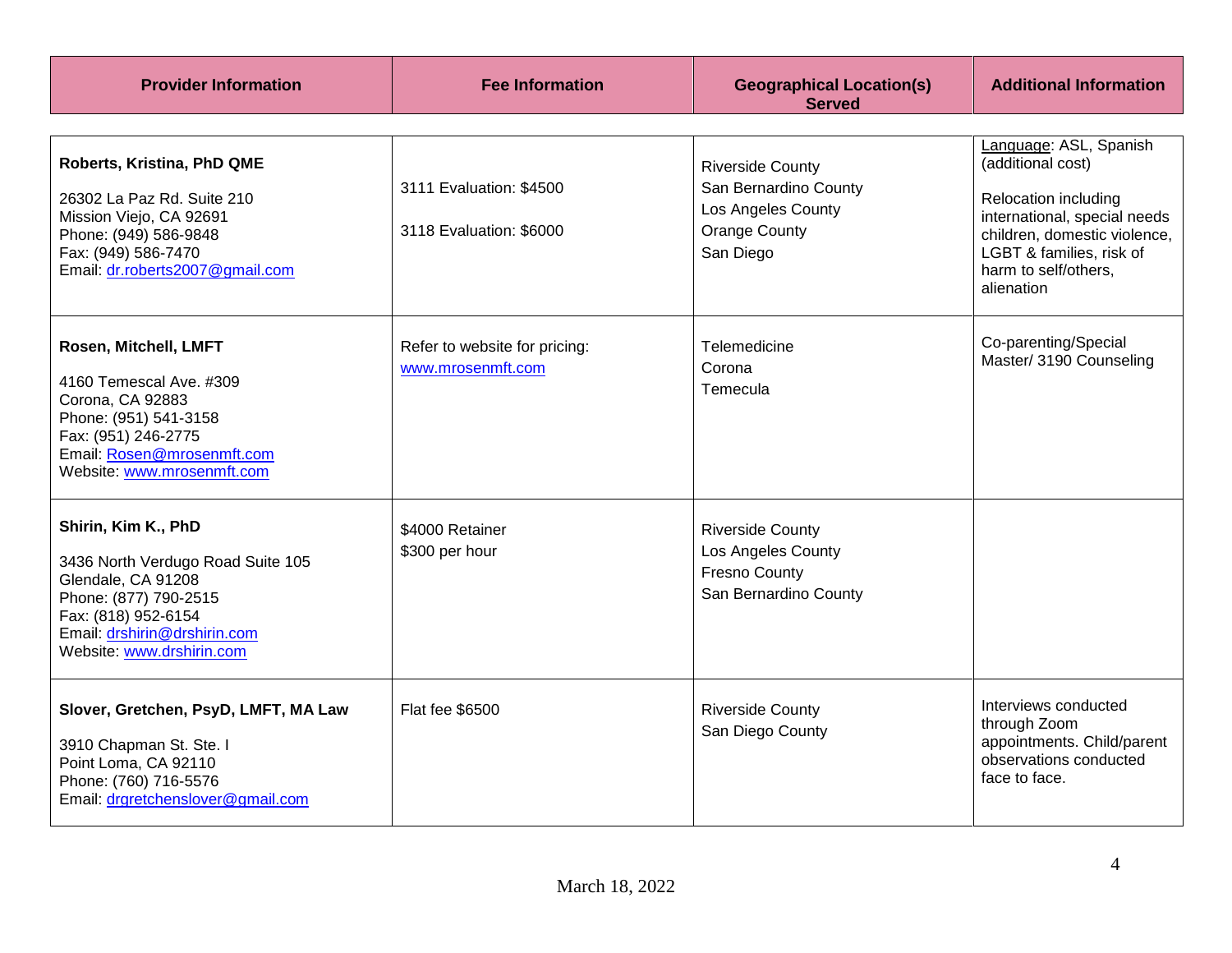| <b>Provider Information</b>                                                                                                                                                                 | <b>Fee Information</b>                             | <b>Geographical Location(s)</b><br><b>Served</b>                                                            | <b>Additional Information</b>                                                                                                                                                                         |
|---------------------------------------------------------------------------------------------------------------------------------------------------------------------------------------------|----------------------------------------------------|-------------------------------------------------------------------------------------------------------------|-------------------------------------------------------------------------------------------------------------------------------------------------------------------------------------------------------|
| Roberts, Kristina, PhD QME<br>26302 La Paz Rd. Suite 210<br>Mission Viejo, CA 92691<br>Phone: (949) 586-9848<br>Fax: (949) 586-7470<br>Email: dr.roberts2007@gmail.com                      | 3111 Evaluation: \$4500<br>3118 Evaluation: \$6000 | <b>Riverside County</b><br>San Bernardino County<br>Los Angeles County<br><b>Orange County</b><br>San Diego | Language: ASL, Spanish<br>(additional cost)<br>Relocation including<br>international, special needs<br>children, domestic violence,<br>LGBT & families, risk of<br>harm to self/others,<br>alienation |
| Rosen, Mitchell, LMFT<br>4160 Temescal Ave. #309<br>Corona, CA 92883<br>Phone: (951) 541-3158<br>Fax: (951) 246-2775<br>Email: Rosen@mrosenmft.com<br>Website: www.mrosenmft.com            | Refer to website for pricing:<br>www.mrosenmft.com | Telemedicine<br>Corona<br>Temecula                                                                          | Co-parenting/Special<br>Master/ 3190 Counseling                                                                                                                                                       |
| Shirin, Kim K., PhD<br>3436 North Verdugo Road Suite 105<br>Glendale, CA 91208<br>Phone: (877) 790-2515<br>Fax: (818) 952-6154<br>Email: drshirin@drshirin.com<br>Website: www.drshirin.com | \$4000 Retainer<br>\$300 per hour                  | <b>Riverside County</b><br>Los Angeles County<br><b>Fresno County</b><br>San Bernardino County              |                                                                                                                                                                                                       |
| Slover, Gretchen, PsyD, LMFT, MA Law<br>3910 Chapman St. Ste. I<br>Point Loma, CA 92110<br>Phone: (760) 716-5576<br>Email: drgretchenslover@gmail.com                                       | Flat fee \$6500                                    | <b>Riverside County</b><br>San Diego County                                                                 | Interviews conducted<br>through Zoom<br>appointments. Child/parent<br>observations conducted<br>face to face.                                                                                         |